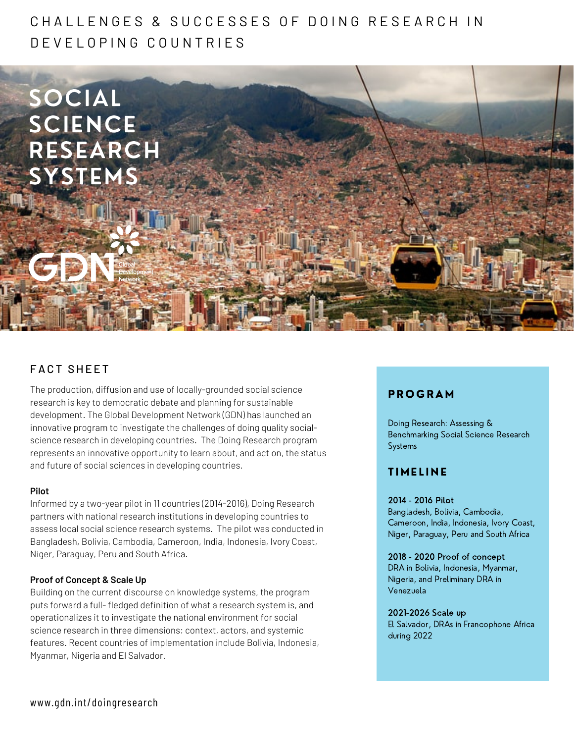# C H A L L E N G E S & SU C C E S S E S O E D O I N G R E S E A R C H I N D E V E L O P I N G C O U N T R I E S



# FACT SHFFT

The production, diffusion and use of locally-grounded social science research is key to democratic debate and planning for sustainable development. The Global Development Network (GDN) has launched an innovative program to investigate the challenges of doing quality socialscience research in developing countries. The Doing Research program represents an innovative opportunity to learn about, and act on, the status and future of social sciences in developing countries.

# **Pilot**

Informed by a two-year pilot in 11 countries (2014-2016), Doing Research partners with national research institutions in developing countries to assess local social science research systems. The pilot was conducted in Bangladesh, Bolivia, Cambodia, Cameroon, India, Indonesia, Ivory Coast, Niger, Paraguay, Peru and South Africa.

# **Proof of Concept & Scale Up**

Building on the current discourse on knowledge systems, the program puts forward a full- fledged definition of what a research system is, and operationalizes it to investigate the national environment for social science research in three dimensions: context, actors, and systemic features. Recent countries of implementation include Bolivia, Indonesia, Myanmar, Nigeria and El Salvador.

# **PROGRAM**

Doing Research: Assessing & Benchmarking Social Science Research Systems

# **TIMELINE**

# 2014 - 2016 Pilot

Bangladesh, Bolivia, Cambodia, Cameroon, India, Indonesia, Ivory Coast, Niger, Paraguay, Peru and South Africa

# 2018 - 2020 Proof of concept

DRA in Bolivia, Indonesia, Myanmar, Nigeria, and Preliminary DRA in Venezuela

#### 2021-2026 Scale up

El Salvador, DRAs in Francophone Africa during 2022